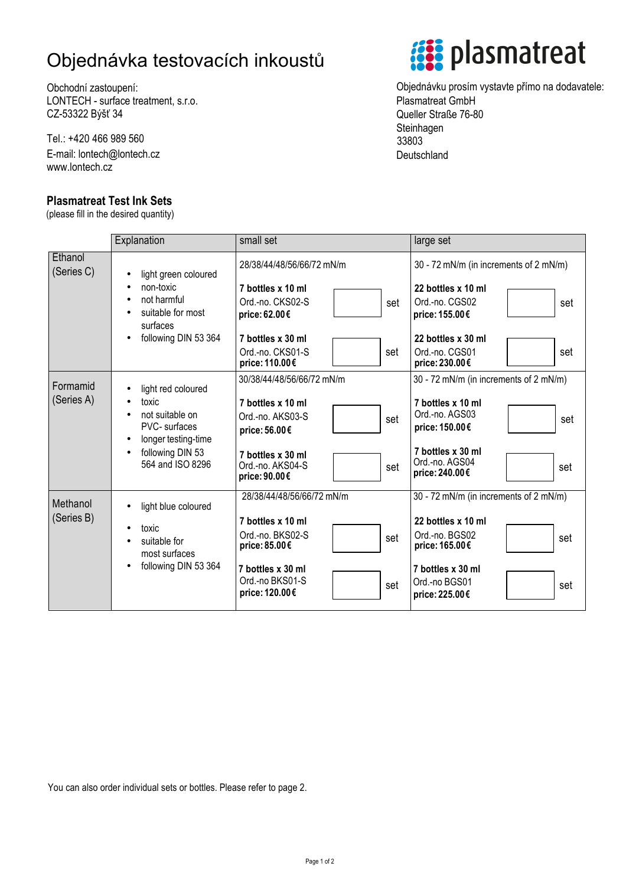## Objednávka testovacích inkoustů

Obchodní zastoupení: LONTECH - surface treatment, s.r.o. CZ-53322 Býšť 34

Tel.: +420 466 989 560 E-mail: lontech@lontech.cz www.lontech.cz

## **Plasmatreat Test Ink Sets**

(please fill in the desired quantity)



Objednávku prosím vystavte přímo na dodavatele: Plasmatreat GmbH Queller Straße 76-80 **Steinhagen** 33803 **Deutschland** 

|                        | Explanation                                                                                                                           | small set                                                                                                                                                   | large set                                                                                                                                                              |  |  |  |
|------------------------|---------------------------------------------------------------------------------------------------------------------------------------|-------------------------------------------------------------------------------------------------------------------------------------------------------------|------------------------------------------------------------------------------------------------------------------------------------------------------------------------|--|--|--|
| Ethanol<br>(Series C)  | light green coloured                                                                                                                  | 28/38/44/48/56/66/72 mN/m                                                                                                                                   | 30 - 72 mN/m (in increments of 2 mN/m)                                                                                                                                 |  |  |  |
|                        | non-toxic<br>not harmful<br>suitable for most<br>surfaces<br>following DIN 53 364                                                     | 7 bottles x 10 ml<br>Ord.-no. CKS02-S<br>set<br>price: 62.00€<br>7 bottles x 30 ml                                                                          | 22 bottles x 10 ml<br>Ord.-no. CGS02<br>set<br>price: 155.00€<br>22 bottles x 30 ml                                                                                    |  |  |  |
|                        |                                                                                                                                       | Ord.-no. CKS01-S<br>set<br>price: 110.00€                                                                                                                   | Ord.-no. CGS01<br>set<br>price: 230.00€                                                                                                                                |  |  |  |
| Formamid<br>(Series A) | light red coloured<br>toxic<br>not suitable on<br><b>PVC-</b> surfaces<br>longer testing-time<br>following DIN 53<br>564 and ISO 8296 | 30/38/44/48/56/66/72 mN/m<br>7 bottles x 10 ml<br>Ord.-no. AKS03-S<br>set<br>price: 56.00€<br>7 bottles x 30 ml<br>Ord.-no. AKS04-S<br>set<br>price: 90.00€ | 30 - 72 mN/m (in increments of 2 mN/m)<br>7 bottles x 10 ml<br>Ord.-no. AGS03<br>set<br>price: 150.00€<br>7 bottles x 30 ml<br>Ord.-no. AGS04<br>set<br>price: 240.00€ |  |  |  |
| Methanol<br>(Series B) | light blue coloured<br>toxic<br>٠<br>suitable for<br>most surfaces<br>following DIN 53 364                                            | 28/38/44/48/56/66/72 mN/m<br>7 bottles x 10 ml<br>Ord.-no. BKS02-S<br>set<br>price: 85.00€<br>7 bottles x 30 ml<br>Ord.-no BKS01-S<br>set<br>price: 120.00€ | 30 - 72 mN/m (in increments of 2 mN/m)<br>22 bottles x 10 ml<br>Ord.-no. BGS02<br>set<br>price: 165.00€<br>7 bottles x 30 ml<br>Ord.-no BGS01<br>set<br>price: 225.00€ |  |  |  |

You can also order individual sets or bottles. Please refer to page 2.